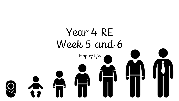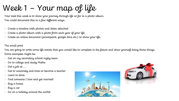## Week 1 – Your map of life

Your task this week is to show your journey through life so far in a photo album. You could document this in a few different ways:

- Create a timeline with photos and dates attached
- Create a photo album with a photo from each year of your life
- Create an online document (powerpoint, google docs etc.) to show your life.

## The small print

You are going to write some life events that you would like to complete in the future and draw yourself doing those things. Some examples might be:

- Get on my secondary school rugby team
- Go to college and study Maths
- Get a job at ….
- Get to university and train to become a teacher
- Learn to drive
- Find someone I love and get married!
- Buy a house
- Buy a car
- Go on a holiday around the world!



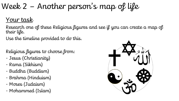## Week 2 – Another person's map of life

## Your task

Research one of these Religious figures and see if you can create a map of their life.

Use the timeline provided to do this.

Religious figures to choose from:

- Jesus (Christianity)
- Rama (Sikhism)
- Buddha (Buddism)
- Brahma (Hinduism)
- Moses (Judaism)
- Mohammed (Islam)